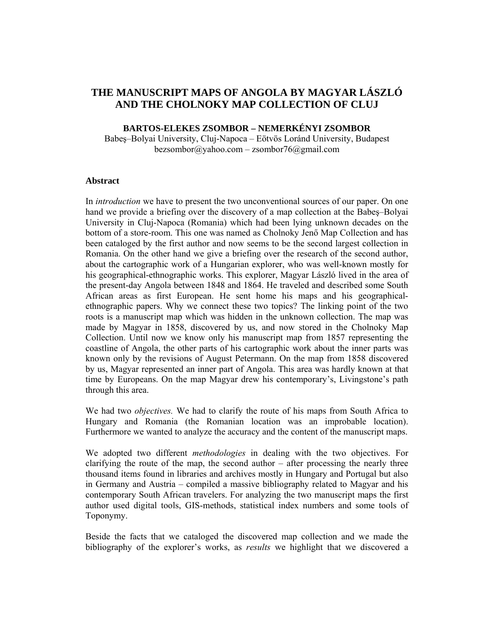# **THE MANUSCRIPT MAPS OF ANGOLA BY MAGYAR LÁSZLÓ AND THE CHOLNOKY MAP COLLECTION OF CLUJ**

### **BARTOS-ELEKES ZSOMBOR – NEMERKÉNYI ZSOMBOR**

Babeş–Bolyai University, Cluj-Napoca – Eötvös Loránd University, Budapest  $bezsombor@yahoo.com-zsombor76@gmail.com$ 

### **Abstract**

In *introduction* we have to present the two unconventional sources of our paper. On one hand we provide a briefing over the discovery of a map collection at the Babeş–Bolyai University in Cluj-Napoca (Romania) which had been lying unknown decades on the bottom of a store-room. This one was named as Cholnoky Jenő Map Collection and has been cataloged by the first author and now seems to be the second largest collection in Romania. On the other hand we give a briefing over the research of the second author, about the cartographic work of a Hungarian explorer, who was well-known mostly for his geographical-ethnographic works. This explorer, Magyar László lived in the area of the present-day Angola between 1848 and 1864. He traveled and described some South African areas as first European. He sent home his maps and his geographicalethnographic papers. Why we connect these two topics? The linking point of the two roots is a manuscript map which was hidden in the unknown collection. The map was made by Magyar in 1858, discovered by us, and now stored in the Cholnoky Map Collection. Until now we know only his manuscript map from 1857 representing the coastline of Angola, the other parts of his cartographic work about the inner parts was known only by the revisions of August Petermann. On the map from 1858 discovered by us, Magyar represented an inner part of Angola. This area was hardly known at that time by Europeans. On the map Magyar drew his contemporary's, Livingstone's path through this area.

We had two *objectives.* We had to clarify the route of his maps from South Africa to Hungary and Romania (the Romanian location was an improbable location). Furthermore we wanted to analyze the accuracy and the content of the manuscript maps.

We adopted two different *methodologies* in dealing with the two objectives. For clarifying the route of the map, the second author – after processing the nearly three thousand items found in libraries and archives mostly in Hungary and Portugal but also in Germany and Austria – compiled a massive bibliography related to Magyar and his contemporary South African travelers. For analyzing the two manuscript maps the first author used digital tools, GIS-methods, statistical index numbers and some tools of Toponymy.

Beside the facts that we cataloged the discovered map collection and we made the bibliography of the explorer's works, as *results* we highlight that we discovered a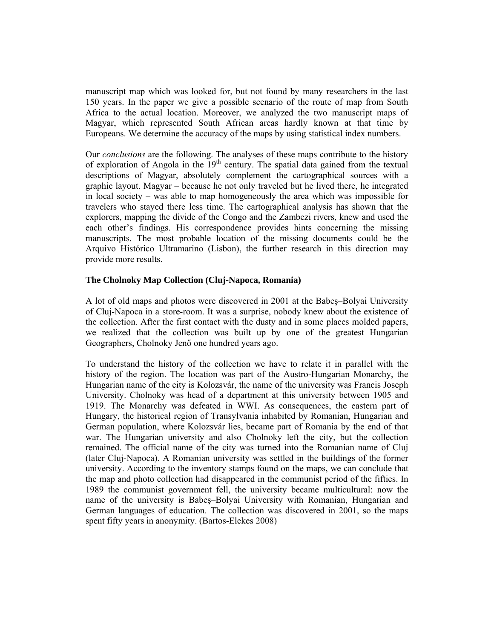manuscript map which was looked for, but not found by many researchers in the last 150 years. In the paper we give a possible scenario of the route of map from South Africa to the actual location. Moreover, we analyzed the two manuscript maps of Magyar, which represented South African areas hardly known at that time by Europeans. We determine the accuracy of the maps by using statistical index numbers.

Our *conclusions* are the following. The analyses of these maps contribute to the history of exploration of Angola in the  $19<sup>th</sup>$  century. The spatial data gained from the textual descriptions of Magyar, absolutely complement the cartographical sources with a graphic layout. Magyar – because he not only traveled but he lived there, he integrated in local society – was able to map homogeneously the area which was impossible for travelers who stayed there less time. The cartographical analysis has shown that the explorers, mapping the divide of the Congo and the Zambezi rivers, knew and used the each other's findings. His correspondence provides hints concerning the missing manuscripts. The most probable location of the missing documents could be the Arquivo Histórico Ultramarino (Lisbon), the further research in this direction may provide more results.

### **The Cholnoky Map Collection (Cluj-Napoca, Romania)**

A lot of old maps and photos were discovered in 2001 at the Babeş–Bolyai University of Cluj-Napoca in a store-room. It was a surprise, nobody knew about the existence of the collection. After the first contact with the dusty and in some places molded papers, we realized that the collection was built up by one of the greatest Hungarian Geographers, Cholnoky Jenő one hundred years ago.

To understand the history of the collection we have to relate it in parallel with the history of the region. The location was part of the Austro-Hungarian Monarchy, the Hungarian name of the city is Kolozsvár, the name of the university was Francis Joseph University. Cholnoky was head of a department at this university between 1905 and 1919. The Monarchy was defeated in WWI. As consequences, the eastern part of Hungary, the historical region of Transylvania inhabited by Romanian, Hungarian and German population, where Kolozsvár lies, became part of Romania by the end of that war. The Hungarian university and also Cholnoky left the city, but the collection remained. The official name of the city was turned into the Romanian name of Cluj (later Cluj-Napoca). A Romanian university was settled in the buildings of the former university. According to the inventory stamps found on the maps, we can conclude that the map and photo collection had disappeared in the communist period of the fifties. In 1989 the communist government fell, the university became multicultural: now the name of the university is Babeş–Bolyai University with Romanian, Hungarian and German languages of education. The collection was discovered in 2001, so the maps spent fifty years in anonymity. (Bartos-Elekes 2008)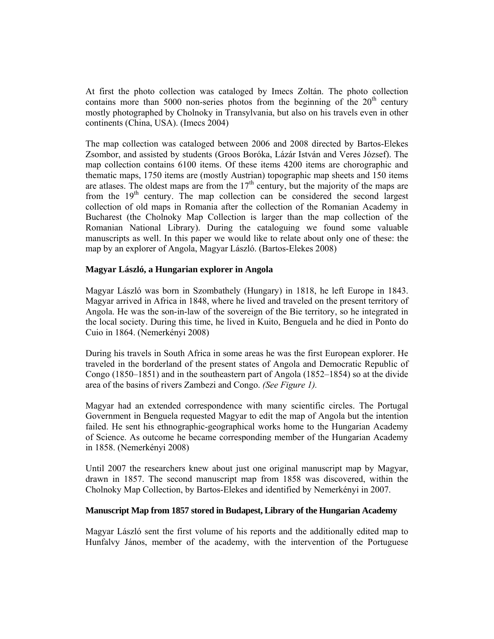At first the photo collection was cataloged by Imecs Zoltán. The photo collection contains more than 5000 non-series photos from the beginning of the  $20<sup>th</sup>$  century mostly photographed by Cholnoky in Transylvania, but also on his travels even in other continents (China, USA). (Imecs 2004)

The map collection was cataloged between 2006 and 2008 directed by Bartos-Elekes Zsombor, and assisted by students (Groos Boróka, Lázár István and Veres József). The map collection contains 6100 items. Of these items 4200 items are chorographic and thematic maps, 1750 items are (mostly Austrian) topographic map sheets and 150 items are atlases. The oldest maps are from the  $17<sup>th</sup>$  century, but the majority of the maps are from the  $19<sup>th</sup>$  century. The map collection can be considered the second largest collection of old maps in Romania after the collection of the Romanian Academy in Bucharest (the Cholnoky Map Collection is larger than the map collection of the Romanian National Library). During the cataloguing we found some valuable manuscripts as well. In this paper we would like to relate about only one of these: the map by an explorer of Angola, Magyar László. (Bartos-Elekes 2008)

### **Magyar László, a Hungarian explorer in Angola**

Magyar László was born in Szombathely (Hungary) in 1818, he left Europe in 1843. Magyar arrived in Africa in 1848, where he lived and traveled on the present territory of Angola. He was the son-in-law of the sovereign of the Bie territory, so he integrated in the local society. During this time, he lived in Kuito, Benguela and he died in Ponto do Cuio in 1864. (Nemerkényi 2008)

During his travels in South Africa in some areas he was the first European explorer. He traveled in the borderland of the present states of Angola and Democratic Republic of Congo (1850–1851) and in the southeastern part of Angola (1852–1854) so at the divide area of the basins of rivers Zambezi and Congo. *(See Figure 1).*

Magyar had an extended correspondence with many scientific circles. The Portugal Government in Benguela requested Magyar to edit the map of Angola but the intention failed. He sent his ethnographic-geographical works home to the Hungarian Academy of Science. As outcome he became corresponding member of the Hungarian Academy in 1858. (Nemerkényi 2008)

Until 2007 the researchers knew about just one original manuscript map by Magyar, drawn in 1857. The second manuscript map from 1858 was discovered, within the Cholnoky Map Collection, by Bartos-Elekes and identified by Nemerkényi in 2007.

#### **Manuscript Map from 1857 stored in Budapest, Library of the Hungarian Academy**

Magyar László sent the first volume of his reports and the additionally edited map to Hunfalvy János, member of the academy, with the intervention of the Portuguese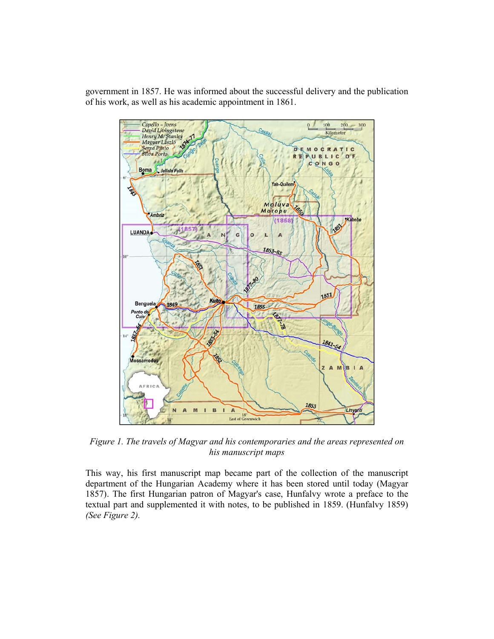government in 1857. He was informed about the successful delivery and the publication of his work, as well as his academic appointment in 1861.



*Figure 1. The travels of Magyar and his contemporaries and the areas represented on his manuscript maps* 

This way, his first manuscript map became part of the collection of the manuscript department of the Hungarian Academy where it has been stored until today (Magyar 1857). The first Hungarian patron of Magyar's case, Hunfalvy wrote a preface to the textual part and supplemented it with notes, to be published in 1859. (Hunfalvy 1859) *(See Figure 2).*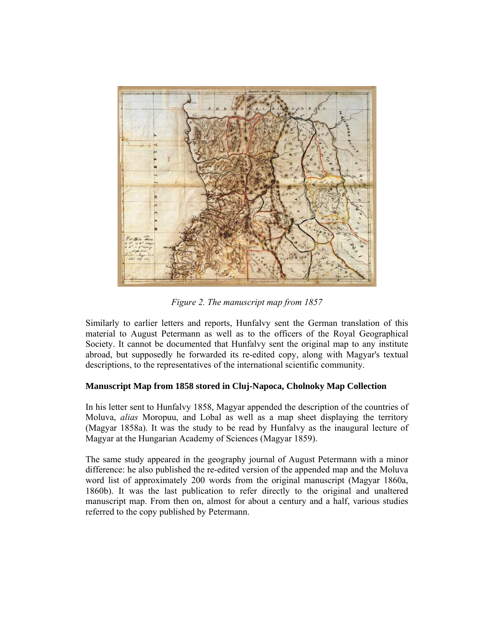

*Figure 2. The manuscript map from 1857* 

Similarly to earlier letters and reports, Hunfalvy sent the German translation of this material to August Petermann as well as to the officers of the Royal Geographical Society. It cannot be documented that Hunfalvy sent the original map to any institute abroad, but supposedly he forwarded its re-edited copy, along with Magyar's textual descriptions, to the representatives of the international scientific community.

## **Manuscript Map from 1858 stored in Cluj-Napoca, Cholnoky Map Collection**

In his letter sent to Hunfalvy 1858, Magyar appended the description of the countries of Moluva, *alias* Moropuu, and Lobal as well as a map sheet displaying the territory (Magyar 1858a). It was the study to be read by Hunfalvy as the inaugural lecture of Magyar at the Hungarian Academy of Sciences (Magyar 1859).

The same study appeared in the geography journal of August Petermann with a minor difference: he also published the re-edited version of the appended map and the Moluva word list of approximately 200 words from the original manuscript (Magyar 1860a, 1860b). It was the last publication to refer directly to the original and unaltered manuscript map. From then on, almost for about a century and a half, various studies referred to the copy published by Petermann.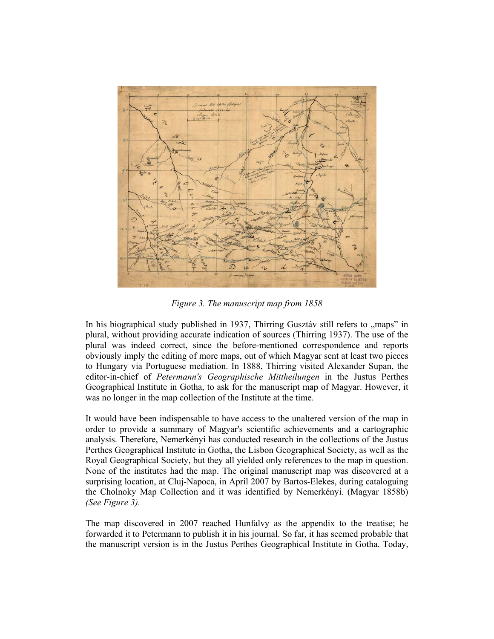

*Figure 3. The manuscript map from 1858* 

In his biographical study published in  $1937$ , Thirring Gusztáv still refers to  $\mu$  maps" in plural, without providing accurate indication of sources (Thirring 1937). The use of the plural was indeed correct, since the before-mentioned correspondence and reports obviously imply the editing of more maps, out of which Magyar sent at least two pieces to Hungary via Portuguese mediation. In 1888, Thirring visited Alexander Supan, the editor-in-chief of *Petermann's Geographische Mittheilungen* in the Justus Perthes Geographical Institute in Gotha, to ask for the manuscript map of Magyar. However, it was no longer in the map collection of the Institute at the time.

It would have been indispensable to have access to the unaltered version of the map in order to provide a summary of Magyar's scientific achievements and a cartographic analysis. Therefore, Nemerkényi has conducted research in the collections of the Justus Perthes Geographical Institute in Gotha, the Lisbon Geographical Society, as well as the Royal Geographical Society, but they all yielded only references to the map in question. None of the institutes had the map. The original manuscript map was discovered at a surprising location, at Cluj-Napoca, in April 2007 by Bartos-Elekes, during cataloguing the Cholnoky Map Collection and it was identified by Nemerkényi. (Magyar 1858b) *(See Figure 3).*

The map discovered in 2007 reached Hunfalvy as the appendix to the treatise; he forwarded it to Petermann to publish it in his journal. So far, it has seemed probable that the manuscript version is in the Justus Perthes Geographical Institute in Gotha. Today,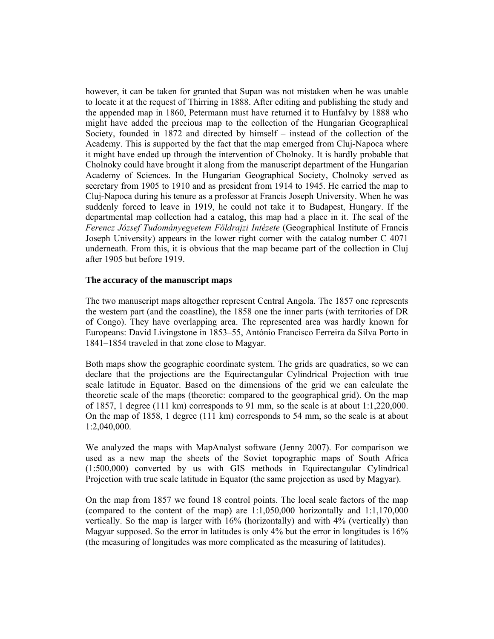however, it can be taken for granted that Supan was not mistaken when he was unable to locate it at the request of Thirring in 1888. After editing and publishing the study and the appended map in 1860, Petermann must have returned it to Hunfalvy by 1888 who might have added the precious map to the collection of the Hungarian Geographical Society, founded in 1872 and directed by himself – instead of the collection of the Academy. This is supported by the fact that the map emerged from Cluj-Napoca where it might have ended up through the intervention of Cholnoky. It is hardly probable that Cholnoky could have brought it along from the manuscript department of the Hungarian Academy of Sciences. In the Hungarian Geographical Society, Cholnoky served as secretary from 1905 to 1910 and as president from 1914 to 1945. He carried the map to Cluj-Napoca during his tenure as a professor at Francis Joseph University. When he was suddenly forced to leave in 1919, he could not take it to Budapest, Hungary. If the departmental map collection had a catalog, this map had a place in it. The seal of the *Ferencz József Tudományegyetem Földrajzi Intézete* (Geographical Institute of Francis Joseph University) appears in the lower right corner with the catalog number C 4071 underneath. From this, it is obvious that the map became part of the collection in Cluj after 1905 but before 1919.

### **The accuracy of the manuscript maps**

The two manuscript maps altogether represent Central Angola. The 1857 one represents the western part (and the coastline), the 1858 one the inner parts (with territories of DR of Congo). They have overlapping area. The represented area was hardly known for Europeans: David Livingstone in 1853–55, António Francisco Ferreira da Silva Porto in 1841–1854 traveled in that zone close to Magyar.

Both maps show the geographic coordinate system. The grids are quadratics, so we can declare that the projections are the Equirectangular Cylindrical Projection with true scale latitude in Equator. Based on the dimensions of the grid we can calculate the theoretic scale of the maps (theoretic: compared to the geographical grid). On the map of 1857, 1 degree (111 km) corresponds to 91 mm, so the scale is at about  $1:1,220,000$ . On the map of 1858, 1 degree (111 km) corresponds to 54 mm, so the scale is at about 1:2,040,000.

We analyzed the maps with MapAnalyst software (Jenny 2007). For comparison we used as a new map the sheets of the Soviet topographic maps of South Africa (1:500,000) converted by us with GIS methods in Equirectangular Cylindrical Projection with true scale latitude in Equator (the same projection as used by Magyar).

On the map from 1857 we found 18 control points. The local scale factors of the map (compared to the content of the map) are 1:1,050,000 horizontally and 1:1,170,000 vertically. So the map is larger with 16% (horizontally) and with 4% (vertically) than Magyar supposed. So the error in latitudes is only 4% but the error in longitudes is 16% (the measuring of longitudes was more complicated as the measuring of latitudes).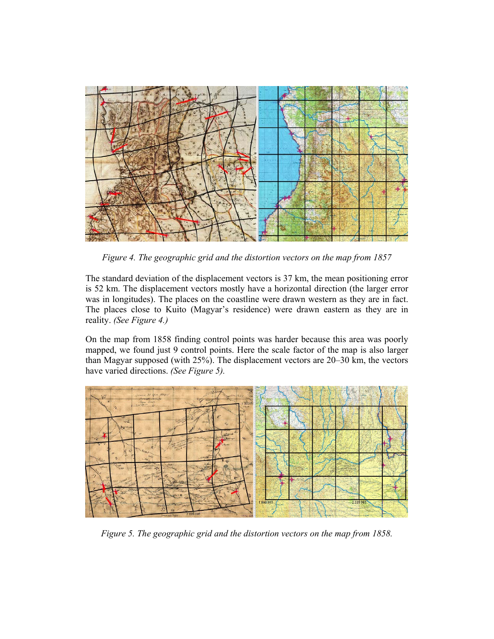

*Figure 4. The geographic grid and the distortion vectors on the map from 1857* 

The standard deviation of the displacement vectors is 37 km, the mean positioning error is 52 km. The displacement vectors mostly have a horizontal direction (the larger error was in longitudes). The places on the coastline were drawn western as they are in fact. The places close to Kuito (Magyar's residence) were drawn eastern as they are in reality. *(See Figure 4.)* 

On the map from 1858 finding control points was harder because this area was poorly mapped, we found just 9 control points. Here the scale factor of the map is also larger than Magyar supposed (with 25%). The displacement vectors are 20–30 km, the vectors have varied directions. *(See Figure 5).*



*Figure 5. The geographic grid and the distortion vectors on the map from 1858.*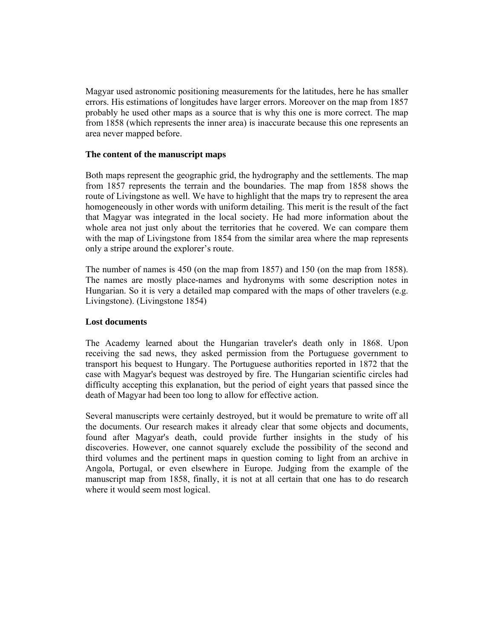Magyar used astronomic positioning measurements for the latitudes, here he has smaller errors. His estimations of longitudes have larger errors. Moreover on the map from 1857 probably he used other maps as a source that is why this one is more correct. The map from 1858 (which represents the inner area) is inaccurate because this one represents an area never mapped before.

### **The content of the manuscript maps**

Both maps represent the geographic grid, the hydrography and the settlements. The map from 1857 represents the terrain and the boundaries. The map from 1858 shows the route of Livingstone as well. We have to highlight that the maps try to represent the area homogeneously in other words with uniform detailing. This merit is the result of the fact that Magyar was integrated in the local society. He had more information about the whole area not just only about the territories that he covered. We can compare them with the map of Livingstone from 1854 from the similar area where the map represents only a stripe around the explorer's route.

The number of names is 450 (on the map from 1857) and 150 (on the map from 1858). The names are mostly place-names and hydronyms with some description notes in Hungarian. So it is very a detailed map compared with the maps of other travelers (e.g. Livingstone). (Livingstone 1854)

### **Lost documents**

The Academy learned about the Hungarian traveler's death only in 1868. Upon receiving the sad news, they asked permission from the Portuguese government to transport his bequest to Hungary. The Portuguese authorities reported in 1872 that the case with Magyar's bequest was destroyed by fire. The Hungarian scientific circles had difficulty accepting this explanation, but the period of eight years that passed since the death of Magyar had been too long to allow for effective action.

Several manuscripts were certainly destroyed, but it would be premature to write off all the documents. Our research makes it already clear that some objects and documents, found after Magyar's death, could provide further insights in the study of his discoveries. However, one cannot squarely exclude the possibility of the second and third volumes and the pertinent maps in question coming to light from an archive in Angola, Portugal, or even elsewhere in Europe. Judging from the example of the manuscript map from 1858, finally, it is not at all certain that one has to do research where it would seem most logical.